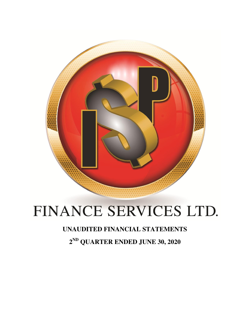

# FINANCE SERVICES LTD.

## **UNAUDITED FINANCIAL STATEMENTS**

**2 ND QUARTER ENDED JUNE 30, 2020**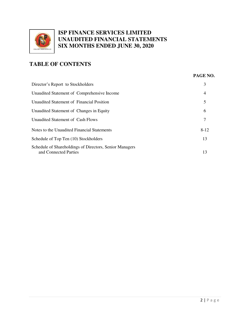

## **TABLE OF CONTENTS**

| PAGE NO. |  |
|----------|--|
|          |  |

| Director's Report to Stockholders                                                | 3              |
|----------------------------------------------------------------------------------|----------------|
| Unaudited Statement of Comprehensive Income                                      | $\overline{4}$ |
| Unaudited Statement of Financial Position                                        | 5              |
| Unaudited Statement of Changes in Equity                                         | 6              |
| Unaudited Statement of Cash Flows                                                | 7              |
| Notes to the Unaudited Financial Statements                                      | $8-12$         |
| Schedule of Top Ten (10) Stockholders                                            | 13             |
| Schedule of Shareholdings of Directors, Senior Managers<br>and Connected Parties | 13             |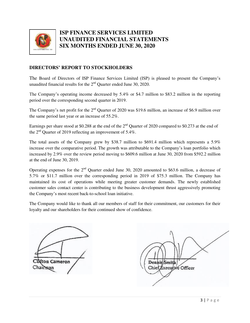

### **DIRECTORS' REPORT TO STOCKHOLDERS**

The Board of Directors of ISP Finance Services Limited (ISP) is pleased to present the Company's unaudited financial results for the  $2<sup>nd</sup>$  Quarter ended June 30, 2020.

The Company's operating income decreased by 5.4% or \$4.7 million to \$83.2 million in the reporting period over the corresponding second quarter in 2019.

The Company's net profit for the 2<sup>nd</sup> Quarter of 2020 was \$19.6 million, an increase of \$6.9 million over the same period last year or an increase of 55.2%.

Earnings per share stood at \$0.288 at the end of the  $2<sup>nd</sup>$  Quarter of 2020 compared to \$0.273 at the end of the  $2<sup>nd</sup>$  Quarter of 2019 reflecting an improvement of 5.4%.

The total assets of the Company grew by \$38.7 million to \$691.4 million which represents a 5.9% increase over the comparative period. The growth was attributable to the Company's loan portfolio which increased by 2.9% over the review period moving to \$609.6 million at June 30, 2020 from \$592.2 million at the end of June 30, 2019.

Operating expenses for the  $2<sup>nd</sup>$  Ouarter ended June 30, 2020 amounted to \$63.6 million, a decrease of 5.7% or \$11.7 million over the corresponding period in 2019 of \$75.3 million. The Company has maintained its cost of operations while meeting greater customer demands. The newly established customer sales contact center is contributing to the business development thrust aggressively promoting the Company's most recent back-to-school loan initiative.

The Company would like to thank all our members of staff for their commitment, our customers for their loyalty and our shareholders for their continued show of confidence.

ton Cameron Chairsean

Dennis/Smith Chief Executive Officer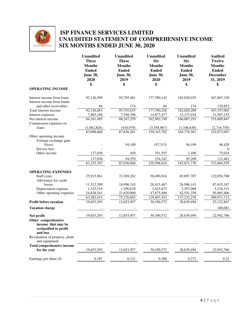

## **ISP FINANCE SERVICES LIMITED UNAUDITED STATEMENT OF COMPREHENSIVE INCOME SIX MONTHS ENDED JUNE 30, 2020**

|                                                                                      | <b>Unaudited</b><br><b>Three</b><br><b>Months</b><br><b>Ended</b><br>June 30,<br>2020<br>\$ | <b>Unaudited</b><br><b>Three</b><br><b>Months</b><br><b>Ended</b><br><b>June 30,</b><br>2019<br>\$ | <b>Unaudited</b><br><b>Six</b><br><b>Months</b><br><b>Ended</b><br><b>June 30,</b><br>2020<br>\$ | <b>Unaudited</b><br><b>Six</b><br><b>Months</b><br><b>Ended</b><br>June 30,<br>2019<br>\$ | <b>Audited</b><br><b>Twelve</b><br><b>Months</b><br><b>Ended</b><br><b>December</b><br>31, 2019<br>\$ |
|--------------------------------------------------------------------------------------|---------------------------------------------------------------------------------------------|----------------------------------------------------------------------------------------------------|--------------------------------------------------------------------------------------------------|-------------------------------------------------------------------------------------------|-------------------------------------------------------------------------------------------------------|
| <b>OPERATING INCOME</b>                                                              |                                                                                             |                                                                                                    |                                                                                                  |                                                                                           |                                                                                                       |
| Interest income from loans<br>Interest income from banks                             | 92,126,599                                                                                  | 95,795,481                                                                                         | 177,780,142                                                                                      | 182,020,035                                                                               | 367,067,150                                                                                           |
| and other receivables                                                                | 84                                                                                          | 174                                                                                                | 84                                                                                               | 174                                                                                       | 129,852                                                                                               |
| Total interest income<br>Interest expenses                                           | 92,126,683<br>7,965,188                                                                     | 95,795,655<br>7,548,396                                                                            | 177,780,226<br>14,877,477                                                                        | 182,020,209<br>15,137,018                                                                 | 367,197,002<br>31,507,155                                                                             |
| Net interest income<br>Commission expenses on                                        | 84, 161, 495                                                                                | 88,247,259                                                                                         | 162,902,749                                                                                      | 166,883,191                                                                               | 335,689,847                                                                                           |
| loans                                                                                | (1,062,826)                                                                                 | (410,978)                                                                                          | (3,558,967)                                                                                      | (1,106,630)                                                                               | (2,716,750)                                                                                           |
|                                                                                      | 83.098.669                                                                                  | 87.836.281                                                                                         | 159, 343, 782                                                                                    | 165,776,561                                                                               | 332,973,097                                                                                           |
| Other operating income<br>Foreign exchange gain<br>/(loss)                           |                                                                                             | 94,109                                                                                             | (97,313)                                                                                         | 94,109                                                                                    | 46,428                                                                                                |
| Service fees                                                                         |                                                                                             |                                                                                                    |                                                                                                  |                                                                                           | $\Omega$                                                                                              |
| Other income                                                                         | 137,038                                                                                     | 450                                                                                                | 351,555                                                                                          | 1,100                                                                                     | 75,034                                                                                                |
|                                                                                      | 137,038                                                                                     | 94,559                                                                                             | 254,242                                                                                          | 95,209                                                                                    | 121,462                                                                                               |
|                                                                                      | 83,235,707                                                                                  | 87,930,840                                                                                         | 159,598,024                                                                                      | 165,871,770                                                                               | 333,094,559                                                                                           |
| <b>OPERATING EXPENSES</b><br>Staff costs                                             | 25,915,961                                                                                  | 33, 369, 262                                                                                       | 58,490,816                                                                                       | 65,097,707                                                                                | 122,054,788                                                                                           |
| Allowance for credit<br>losses                                                       | 11,512,399                                                                                  | 18,996,143                                                                                         | 20,415,467                                                                                       | 26,996,143                                                                                | 87,635,187                                                                                            |
| Depreciation expense                                                                 | 1,325,514                                                                                   | 1,290,678                                                                                          | 2,625,673                                                                                        | 2,597,068                                                                                 | 5,216,331                                                                                             |
| Other operating expenses                                                             | 24,828,541                                                                                  | 21,620,800                                                                                         | 47,875,496                                                                                       | 42,541,358                                                                                | 95,065,406                                                                                            |
|                                                                                      | 63,582,414                                                                                  | 75,276,883                                                                                         | 129,407,452                                                                                      | 137,232,276                                                                               | 309,971,712                                                                                           |
| <b>Profit before taxation</b>                                                        | 19,653,293                                                                                  | 12,653,957                                                                                         | 30,190,572                                                                                       | 28,639,494                                                                                | 23,122,847                                                                                            |
| <b>Taxation charge</b>                                                               |                                                                                             |                                                                                                    |                                                                                                  |                                                                                           | 180,081                                                                                               |
| Net profit                                                                           | 19,653,293                                                                                  | 12,653,957                                                                                         | 30,190,572                                                                                       | 28,639,494                                                                                | 22,942,766                                                                                            |
| Other comprehensive<br>income that may be<br>reclassified to profit<br>and loss      |                                                                                             |                                                                                                    |                                                                                                  |                                                                                           |                                                                                                       |
| Revaluation of property, plant<br>and equipment<br><b>Total comprehensive income</b> |                                                                                             |                                                                                                    |                                                                                                  |                                                                                           |                                                                                                       |
| for the year                                                                         | 19,653,293                                                                                  | 12,653,957                                                                                         | 30,190,572                                                                                       | 28,639,494                                                                                | 22,942,766                                                                                            |
| Earnings per share (\$)                                                              | 0.187                                                                                       | 0.121                                                                                              | 0.288                                                                                            | 0.273                                                                                     | 0.22                                                                                                  |
|                                                                                      |                                                                                             |                                                                                                    |                                                                                                  |                                                                                           |                                                                                                       |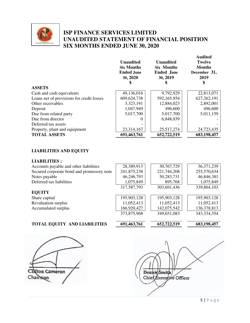

## **ISP FINANCE SERVICES LIMITED UNAUDITED STATEMENT OF FINANCIAL POSITION SIX MONTHS ENDED JUNE 30, 2020**

|                                           | <b>Unaudited</b><br><b>Six Months</b><br><b>Ended June</b><br>30, 2020 | <b>Unaudited</b><br><b>Six Months</b><br><b>Ended June</b><br>30, 2019 | Audited<br><b>Twelve</b><br><b>Months</b><br>December 31,<br>2019<br>S |
|-------------------------------------------|------------------------------------------------------------------------|------------------------------------------------------------------------|------------------------------------------------------------------------|
| <b>ASSETS</b>                             |                                                                        |                                                                        |                                                                        |
| Cash and cash equivalents                 | 49,136,016                                                             | 9,792,929                                                              | 22,813,071                                                             |
| Loans net of provisions for credit losses | 609,624,738                                                            | 592,165,954                                                            | 627, 262, 191                                                          |
| Other receivables                         | 3,323,191                                                              | 12,884,023                                                             | 2,892,001                                                              |
| Deposit                                   | 1,047,949                                                              | 496,600                                                                | 496,600                                                                |
| Due from related party                    | 5,017,700                                                              | 5,017,700                                                              | 5,011,159                                                              |
| Due from director                         |                                                                        | 6,848,039                                                              |                                                                        |
| Deferred tax assets                       |                                                                        |                                                                        |                                                                        |
| Property, plant and equipment             | 23,314,167                                                             | 25,517,274                                                             | 24,723,435                                                             |
| <b>TOTAL ASSETS</b>                       | 691,463,761                                                            | 652,722,519                                                            | 683,198,457                                                            |

## **LIABILITIES AND EQUITY**

#### **LIABILITIES :**

| Accounts payable and other liabilities     | 28,389,913  | 30,767,729  | 36, 371, 239  |
|--------------------------------------------|-------------|-------------|---------------|
| Secured corporate bond and promissory note | 241,875,238 | 221,744,208 | 255,570,634   |
| Notes payable                              | 46,246,793  | 50,283,731  | 46,846,381    |
| Deferred tax liabilities                   | 1,075,849   | 895,768     | 1,075,849     |
|                                            | 317,587,793 | 303,691,436 | 339,864,103   |
| <b>EQUITY</b>                              |             |             |               |
| Share capital                              | 195,903,128 | 195,903,128 | 195,903,128   |
| Revaluation surplus                        | 11,052,413  | 11,052,413  | 11,052,413    |
| Accumulated surplus                        | 166,920,427 | 142,075,542 | 136,378,813   |
|                                            | 373,875,968 | 349,031,083 | 343, 334, 354 |
|                                            |             |             |               |

## **TOTAL EQUITY AND LIABILITIES** 691,463,761 652,722,519 683,198,457



**Audited Audited** 

fton Cameron Chairman

Dennis/Smith Chief Executive Officer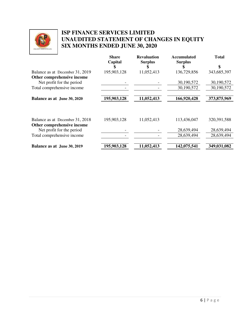

## **ISP FINANCE SERVICES LIMITED UNAUDITED STATEMENT OF CHANGES IN EQUITY SIX MONTHS ENDED JUNE 30, 2020**

|                                                         | <b>Share</b><br>Capital | <b>Revaluation</b><br><b>Surplus</b> | <b>Accumulated</b><br><b>Surplus</b> | <b>Total</b>  |
|---------------------------------------------------------|-------------------------|--------------------------------------|--------------------------------------|---------------|
|                                                         |                         |                                      |                                      | \$            |
| Balance as at December 31, 2019                         | 195,903,128             | 11,052,413                           | 136,729,856                          | 343,685,397   |
| Other comprehensive income                              |                         |                                      |                                      |               |
| Net profit for the period                               |                         |                                      | 30,190,572                           | 30,190,572    |
| Total comprehensive income                              |                         |                                      | 30,190,572                           | 30,190,572    |
|                                                         |                         |                                      |                                      |               |
| Balance as at June 30, 2020                             | 195,903,128             | 11,052,413                           | 166,920,428                          | 373,875,969   |
|                                                         |                         |                                      |                                      |               |
| Balance as at December 31, 2018                         | 195,903,128             | 11,052,413                           | 113,436,047                          | 320, 391, 588 |
| Other comprehensive income<br>Net profit for the period |                         |                                      | 28,639,494                           | 28,639,494    |
| Total comprehensive income                              |                         |                                      | 28,639,494                           | 28,639,494    |
|                                                         |                         |                                      |                                      |               |
| Balance as at June 30, 2019                             | 195,903,128             | 11,052,413                           | 142,075,541                          | 349,031,082   |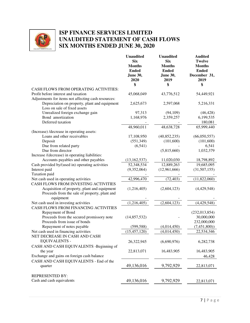

## **ISP FINANCE SERVICES LIMITED UNAUDITED STATEMENT OF CASH FLOWS SIX MONTHS ENDED JUNE 30, 2020**

|                                                                                                            | <b>Unaudited</b><br><b>Six</b><br><b>Months</b><br><b>Ended</b><br>June 30,<br>2020 | <b>Unaudited</b><br><b>Six</b><br><b>Months</b><br><b>Ended</b><br><b>June 30,</b><br>2019 | <b>Audited</b><br><b>Twelve</b><br><b>Months</b><br><b>Ended</b><br>December 31,<br>2019 |
|------------------------------------------------------------------------------------------------------------|-------------------------------------------------------------------------------------|--------------------------------------------------------------------------------------------|------------------------------------------------------------------------------------------|
|                                                                                                            | \$                                                                                  | \$                                                                                         | \$                                                                                       |
| CASH FLOWS FROM OPERATING ACTIVITIES:                                                                      |                                                                                     |                                                                                            |                                                                                          |
| Profit before interest and taxation                                                                        | 45,068,049                                                                          | 43,776,512                                                                                 | 54,449,921                                                                               |
| Adjustments for items not affecting cash resources:                                                        |                                                                                     |                                                                                            |                                                                                          |
| Depreciation on property, plant and equipment<br>Loss on sale of fixed assets                              | 2,625,673                                                                           | 2,597,068                                                                                  | 5,216,331                                                                                |
| Unrealized foreign exchange gain                                                                           | 97,313                                                                              | (94, 109)                                                                                  | (46, 428)                                                                                |
| Bond amortization<br>Deferred taxation                                                                     | 1,168,976                                                                           | 2,359,257                                                                                  | 6,199,535<br>180,081                                                                     |
|                                                                                                            | 48,960,011                                                                          | 48,638,728                                                                                 | 65,999,440                                                                               |
| (Increase) /decrease in operating assets:                                                                  |                                                                                     |                                                                                            |                                                                                          |
| Loans and other receivables                                                                                | 17,108,950                                                                          | (40,852,235)                                                                               | (66,050,557)                                                                             |
| Deposit                                                                                                    | (551, 349)                                                                          | (101,600)                                                                                  | (101,600)                                                                                |
| Due from related party                                                                                     | (6, 541)                                                                            |                                                                                            | 6,541                                                                                    |
| Due from director<br>Increase /(decrease) in operating liabilities:                                        |                                                                                     | (5,815,660)                                                                                | 1,032,379                                                                                |
| Accounts payables and other payables                                                                       | (13, 162, 537)                                                                      | 11,020,030                                                                                 | 18,798,892                                                                               |
| Cash provided by/(used in) operating activities                                                            | 52,348,534                                                                          | 12,889,263                                                                                 | 19,685,095                                                                               |
| Interest paid                                                                                              | (9,352,064)                                                                         | (12,961,666)                                                                               | (31,507,155)                                                                             |
| Taxation paid                                                                                              |                                                                                     |                                                                                            |                                                                                          |
| Net cash used in operating activities                                                                      | 42,996,470                                                                          | (72, 403)                                                                                  | (11,822,060)                                                                             |
| CASH FLOWS FROM INVESTING ACTIVITIES                                                                       |                                                                                     |                                                                                            |                                                                                          |
| Acquisition of property, plant and equipment<br>Proceeds from the sale of property, plant and<br>equipment | (1,216,405)                                                                         | (2,604,123)                                                                                | (4,429,548)                                                                              |
| Net cash used in investing activities                                                                      | (1,216,405)                                                                         | (2,604,123)                                                                                | (4,429,548)                                                                              |
| CASH FLOWS FROM FINANCING ACTIVITIES                                                                       |                                                                                     |                                                                                            |                                                                                          |
| Repayment of Bond                                                                                          |                                                                                     |                                                                                            | (232, 013, 854)                                                                          |
| Proceeds from the secured promissory note                                                                  | (14, 857, 532)                                                                      |                                                                                            | 30,000,000                                                                               |
| Proceeds from issue of bonds                                                                               |                                                                                     |                                                                                            | 232,000,000                                                                              |
| Repayment of notes payable                                                                                 | (599, 588)                                                                          | (4,014,450)                                                                                | (7,451,800)                                                                              |
| Net cash used in financing activities                                                                      | (15, 457, 120)                                                                      | (4,014,450)                                                                                | 22,534,346                                                                               |
| NET DECREASE IN CASH AND CASH<br><b>EQUIVALENTS -</b>                                                      | 26,322,945                                                                          | (6,690,976)                                                                                | 6,282,738                                                                                |
| CASH AND CASH EQUIVALENTS -Beginning of                                                                    |                                                                                     |                                                                                            |                                                                                          |
| the year                                                                                                   | 22,813,071                                                                          | 16,483,905                                                                                 | 16,483,905                                                                               |
| Exchange and gains on foreign cash balance                                                                 |                                                                                     |                                                                                            | 46,428                                                                                   |
| CASH AND CASH EQUIVALENTS - End of the                                                                     |                                                                                     |                                                                                            |                                                                                          |
| quarter                                                                                                    | 49,136,016                                                                          | 9,792,929                                                                                  | 22,813,071                                                                               |
| <b>REPRESENTED BY:</b>                                                                                     |                                                                                     |                                                                                            |                                                                                          |
| Cash and cash equivalents                                                                                  | 49,136,016                                                                          | 9,792,929                                                                                  | 22,813,071                                                                               |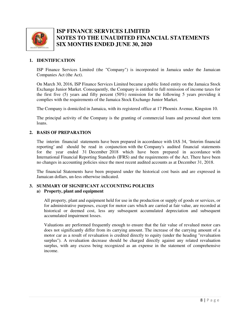

#### **1. IDENTIFICATION**

ISP Finance Services Limited (the "Company") is incorporated in Jamaica under the Jamaican Companies Act (the Act).

On March 30, 2016, ISP Finance Services Limited became a public listed entity on the Jamaica Stock Exchange Junior Market. Consequently, the Company is entitled to full remission of income taxes for the first five (5) years and fifty percent (50%) remission for the following 5 years providing it complies with the requirements of the Jamaica Stock Exchange Junior Market.

The Company is domiciled in Jamaica, with its registered office at 17 Phoenix Avenue, Kingston 10.

The principal activity of the Company is the granting of commercial loans and personal short term loans.

#### **2. BASIS OF PREPARATION**

The interim financial statements have been prepared in accordance with IAS 34, 'Interim financial reporting' and should be read in conjunction with the Company's audited financial statements for the year ended 31 December 2018 which have been prepared in accordance with International Financial Reporting Standards (IFRS) and the requirements of the Act. There have been no changes in accounting policies since the most recent audited accounts as at December 31, 2018.

The financial Statements have been prepared under the historical cost basis and are expressed in Jamaican dollars, un-less otherwise indicated.

#### **3. SUMMARY OF SIGNIFICANT ACCOUNTING POLICIES**

#### **a) Property, plant and equipment**

All property, plant and equipment held for use in the production or supply of goods or services, or for administrative purposes, except for motor cars which are carried at fair value, are recorded at historical or deemed cost, less any subsequent accumulated depreciation and subsequent accumulated impairment losses.

Valuations are performed frequently enough to ensure that the fair value of revalued motor cars does not significantly differ from its carrying amount. The increase of the carrying amount of a motor car as a result of revaluation is credited directly to equity (under the heading "revaluation surplus"). A revaluation decrease should be charged directly against any related revaluation surplus, with any excess being recognized as an expense in the statement of comprehensive income.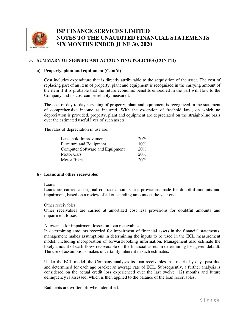

#### **3. SUMMARY OF SIGNIFICANT ACCOUNTING POLICIES (CONT'D)**

#### **a) Property, plant and equipment (Cont'd)**

Cost includes expenditure that is directly attributable to the acquisition of the asset. The cost of replacing part of an item of property, plant and equipment is recognized in the carrying amount of the item if it is probable that the future economic benefits embodied in the part will flow to the Company and its cost can be reliably measured.

The cost of day-to-day servicing of property, plant and equipment is recognized in the statement of comprehensive income as incurred. With the exception of freehold land, on which no depreciation is provided, property, plant and equipment are depreciated on the straight-line basis over the estimated useful lives of such assets.

The rates of depreciation in use are:

| Leasehold Improvements          | 20% |
|---------------------------------|-----|
| Furniture and Equipment         | 10% |
| Computer Software and Equipment | 20% |
| Motor Cars                      | 20% |
| <b>Motor Bikes</b>              | 20% |

#### **b) Loans and other receivables**

#### Loans

Loans are carried at original contract amounts less provisions made for doubtful amounts and impairment, based on a review of all outstanding amounts at the year end.

#### Other receivables

Other receivables are carried at amortized cost less provisions for doubtful amounts and impairment losses.

#### Allowance for impairment losses on loan receivables

In determining amounts recorded for impairment of financial assets in the financial statements, management makes assumptions in determining the inputs to be used in the ECL measurement model, including incorporation of forward-looking information. Management also estimate the likely amount of cash flows recoverable on the financial assets in determining loss given default. The use of assumptions makes uncertainly inherent in such estimates.

Under the ECL model, the Company analyses its loan receivables in a matrix by days past due and determined for each age bracket an average rate of ECL. Subsequently, a further analysis is considered on the actual credit loss experienced over the last twelve (12) months and future delinquency is assessed, which is then applied to the balance of the loan receivables.

Bad debts are written off when identified.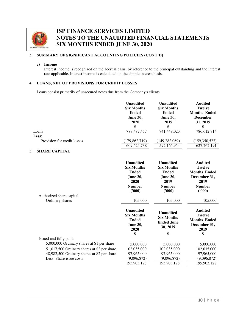

#### **3. SUMMARY OF SIGNIFICANT ACCOUNTING POLICIES (CONT'D)**

#### **c) Income**

Interest income is recognized on the accrual basis, by reference to the principal outstanding and the interest rate applicable. Interest income is calculated on the simple interest basis.

#### **4. LOANS, NET OF PROVISIONS FOR CREDIT LOSSES**

Loans consist primarily of unsecured notes due from the Company's clients

|                                             | <b>Unaudited</b><br><b>Six Months</b><br><b>Ended</b><br><b>June 30,</b><br>2020<br>\$                      | <b>Unaudited</b><br><b>Six Months</b><br><b>Ended</b><br><b>June 30,</b><br>2019<br>\$                      | <b>Audited</b><br><b>Twelve</b><br><b>Months Ended</b><br><b>December</b><br>31, 2019<br>\$               |
|---------------------------------------------|-------------------------------------------------------------------------------------------------------------|-------------------------------------------------------------------------------------------------------------|-----------------------------------------------------------------------------------------------------------|
| Loans                                       | 789,487,457                                                                                                 | 741,448,023                                                                                                 | 786,612,714                                                                                               |
| Less:                                       |                                                                                                             |                                                                                                             |                                                                                                           |
| Provision for credit losses                 | (179, 862, 719)                                                                                             | (149, 282, 069)                                                                                             | (159,350,523)                                                                                             |
|                                             | 609,624,738                                                                                                 | 592,165,954                                                                                                 | 627, 262, 191                                                                                             |
| <b>SHARE CAPITAL</b><br>5.                  |                                                                                                             |                                                                                                             |                                                                                                           |
| Authorized share capital:                   | <b>Unaudited</b><br><b>Six Months</b><br><b>Ended</b><br><b>June 30,</b><br>2020<br><b>Number</b><br>(1000) | <b>Unaudited</b><br><b>Six Months</b><br><b>Ended</b><br><b>June 30,</b><br>2019<br><b>Number</b><br>(1000) | <b>Audited</b><br><b>Twelve</b><br><b>Months Ended</b><br>December 31,<br>2019<br><b>Number</b><br>(1000) |
| Ordinary shares                             | 105,000                                                                                                     | 105,000                                                                                                     | 105,000                                                                                                   |
|                                             | <b>Unaudited</b><br><b>Six Months</b><br><b>Ended</b><br>June 30,<br>2020<br>\$                             | <b>Unaudited</b><br><b>Six Months</b><br><b>Ended June</b><br>30, 2019<br>\$                                | <b>Audited</b><br><b>Twelve</b><br><b>Months Ended</b><br>December 31,<br>2019<br>\$                      |
| Issued and fully paid:                      |                                                                                                             |                                                                                                             |                                                                                                           |
| 5,000,000 Ordinary shares at \$1 per share  | 5,000,000                                                                                                   | 5,000,000                                                                                                   | 5,000,000                                                                                                 |
| 51,017,500 Ordinary shares at \$2 per share | 102,035,000                                                                                                 | 102,035,000                                                                                                 | 102,035,000                                                                                               |

48,982,500 Ordinary shares at \$2 per share 97,965,000 97,965,000 97,965,000 Less: Share issue costs  $\frac{(9,096,872)}{195,903,128}$   $\frac{(9,096,872)}{195,903,128}$   $\frac{(9,096,872)}{195,903,128}$ 

195,903,128 195,903,128 195,903,128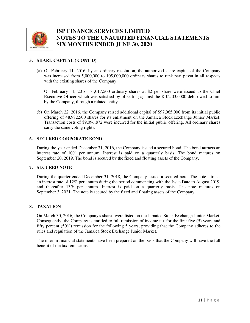

#### **5. SHARE CAPITAL ( CONT'D)**

(a) On February 11, 2016, by an ordinary resolution, the authorized share capital of the Company was increased from 5,000,000 to 105,000,000 ordinary shares to rank pari passu in all respects with the existing shares of the Company.

On February 11, 2016, 51,017,500 ordinary shares at \$2 per share were issued to the Chief Executive Officer which was satisfied by offsetting against the \$102,035,000 debt owed to him by the Company, through a related entity.

(b) On March 22, 2016, the Company raised additional capital of \$97,965,000 from its initial public offering of 48,982,500 shares for its enlistment on the Jamaica Stock Exchange Junior Market. Transaction costs of \$9,096,872 were incurred for the initial public offering. All ordinary shares carry the same voting rights.

#### **6. SECURED CORPORATE BOND**

During the year ended December 31, 2016, the Company issued a secured bond. The bond attracts an interest rate of 10% per annum. Interest is paid on a quarterly basis. The bond matures on September 20, 2019. The bond is secured by the fixed and floating assets of the Company.

#### **7. SECURED NOTE**

During the quarter ended December 31, 2018, the Company issued a secured note. The note attracts an interest rate of 12% per annum during the period commencing with the Issue Date to August 2019, and thereafter 13% per annum. Interest is paid on a quarterly basis. The note matures on September 3, 2021. The note is secured by the fixed and floating assets of the Company.

#### **8. TAXATION**

On March 30, 2016, the Company's shares were listed on the Jamaica Stock Exchange Junior Market. Consequently, the Company is entitled to full remission of income tax for the first five (5) years and fifty percent (50%) remission for the following 5 years, providing that the Company adheres to the rules and regulation of the Jamaica Stock Exchange Junior Market.

The interim financial statements have been prepared on the basis that the Company will have the full benefit of the tax remissions.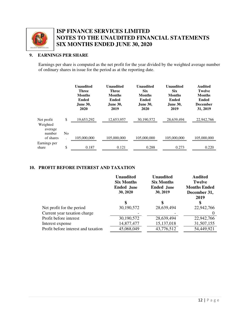

#### **9. EARNINGS PER SHARE**

Earnings per share is computed as the net profit for the year divided by the weighted average number of ordinary shares in issue for the period as at the reporting date.

|                        |    | <b>Unaudited</b><br><b>Three</b><br><b>Months</b><br>Ended<br><b>June 30,</b><br>2020 | Unaudited<br><b>Three</b><br><b>Months</b><br>Ended<br><b>June 30,</b><br>2019 | <b>Unaudited</b><br><b>Six</b><br><b>Months</b><br>Ended<br><b>June 30,</b><br>2020 | <b>Unaudited</b><br><b>Six</b><br><b>Months</b><br>Ended<br><b>June 30,</b><br>2019 | <b>Audited</b><br><b>Twelve</b><br><b>Months</b><br><b>Ended</b><br><b>December</b><br>31, 2019 |
|------------------------|----|---------------------------------------------------------------------------------------|--------------------------------------------------------------------------------|-------------------------------------------------------------------------------------|-------------------------------------------------------------------------------------|-------------------------------------------------------------------------------------------------|
| Net profit<br>Weighted | \$ | 19,653,292                                                                            | 12,653,957                                                                     | 30,190,572                                                                          | 28,639,494                                                                          | 22,942,766                                                                                      |
| average<br>number      | No |                                                                                       |                                                                                |                                                                                     |                                                                                     |                                                                                                 |
| of shares              |    | 105,000,000                                                                           | 105,000,000                                                                    | 105,000,000                                                                         | 105,000,000                                                                         | 105,000,000                                                                                     |
| Earnings per           |    |                                                                                       |                                                                                |                                                                                     |                                                                                     |                                                                                                 |
| share                  | \$ | 0.187                                                                                 | 0.121                                                                          | 0.288                                                                               | 0.273                                                                               | 0.220                                                                                           |

#### **10. PROFIT BEFORE INTEREST AND TAXATION**

|                                     | <b>Unaudited</b><br><b>Six Months</b><br><b>Ended June</b><br>30, 2020 | <b>Unaudited</b><br><b>Six Months</b><br><b>Ended June</b><br>30, 2019 | <b>Audited</b><br><b>Twelve</b><br><b>Months Ended</b><br>December 31,<br>2019 |
|-------------------------------------|------------------------------------------------------------------------|------------------------------------------------------------------------|--------------------------------------------------------------------------------|
|                                     | \$                                                                     | \$                                                                     | \$                                                                             |
| Net profit for the period           | 30,190,572                                                             | 28,639,494                                                             | 22,942,766                                                                     |
| Current year taxation charge        |                                                                        |                                                                        |                                                                                |
| Profit before interest              | 30,190,572                                                             | 28,639,494                                                             | 22,942,766                                                                     |
| Interest expense                    | 14,877,477                                                             | 15, 137, 018                                                           | 31,507,155                                                                     |
| Profit before interest and taxation | 45,068,049                                                             | 43,776,512                                                             | 54,449,921                                                                     |